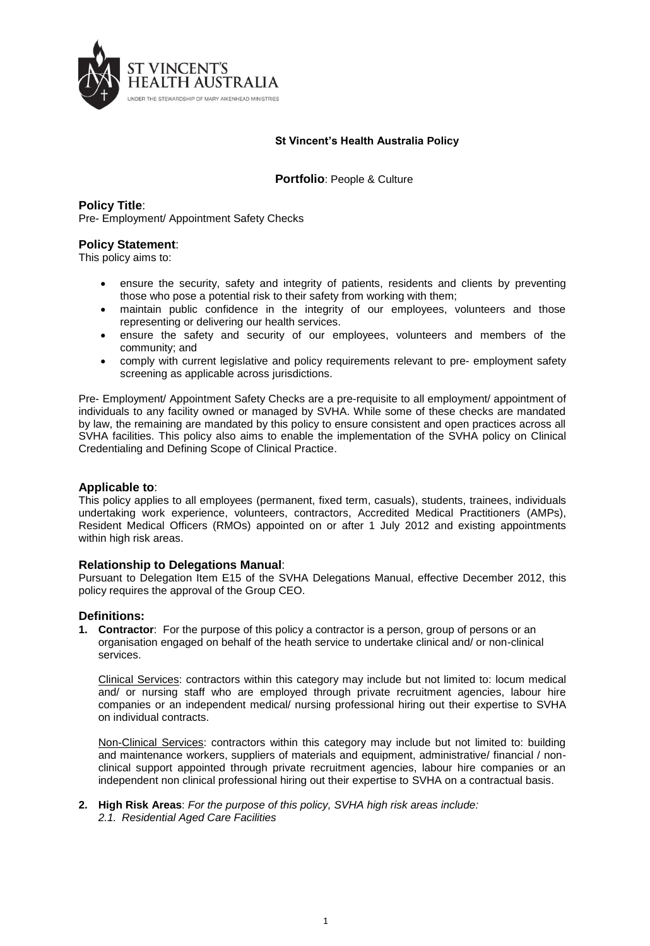

## **St Vincent's Health Australia Policy**

**Portfolio**: People & Culture

# **Policy Title**:

Pre- Employment/ Appointment Safety Checks

### **Policy Statement**:

This policy aims to:

- ensure the security, safety and integrity of patients, residents and clients by preventing those who pose a potential risk to their safety from working with them;
- maintain public confidence in the integrity of our employees, volunteers and those representing or delivering our health services.
- ensure the safety and security of our employees, volunteers and members of the community; and
- comply with current legislative and policy requirements relevant to pre- employment safety screening as applicable across jurisdictions.

Pre- Employment/ Appointment Safety Checks are a pre-requisite to all employment/ appointment of individuals to any facility owned or managed by SVHA. While some of these checks are mandated by law, the remaining are mandated by this policy to ensure consistent and open practices across all SVHA facilities. This policy also aims to enable the implementation of the SVHA policy on Clinical Credentialing and Defining Scope of Clinical Practice.

### **Applicable to**:

This policy applies to all employees (permanent, fixed term, casuals), students, trainees, individuals undertaking work experience, volunteers, contractors, Accredited Medical Practitioners (AMPs), Resident Medical Officers (RMOs) appointed on or after 1 July 2012 and existing appointments within high risk areas.

### **Relationship to Delegations Manual**:

Pursuant to Delegation Item E15 of the SVHA Delegations Manual, effective December 2012, this policy requires the approval of the Group CEO.

### **Definitions:**

**1. Contractor**: For the purpose of this policy a contractor is a person, group of persons or an organisation engaged on behalf of the heath service to undertake clinical and/ or non-clinical services.

Clinical Services: contractors within this category may include but not limited to: locum medical and/ or nursing staff who are employed through private recruitment agencies, labour hire companies or an independent medical/ nursing professional hiring out their expertise to SVHA on individual contracts.

Non-Clinical Services: contractors within this category may include but not limited to: building and maintenance workers, suppliers of materials and equipment, administrative/ financial / nonclinical support appointed through private recruitment agencies, labour hire companies or an independent non clinical professional hiring out their expertise to SVHA on a contractual basis.

**2. High Risk Areas**: *For the purpose of this policy, SVHA high risk areas include: 2.1. Residential Aged Care Facilities*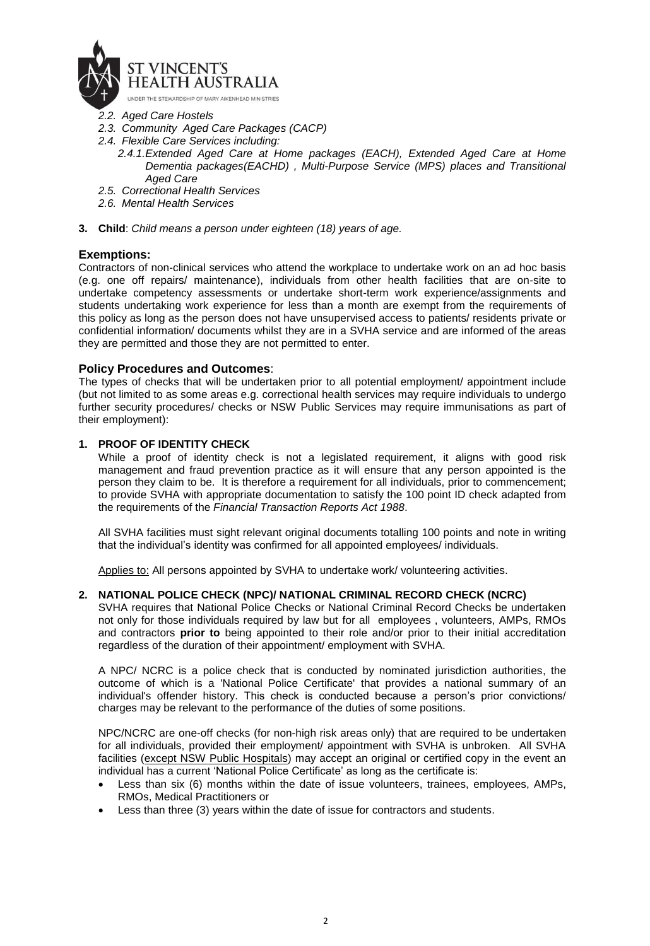

- *2.2. Aged Care Hostels*
- *2.3. Community Aged Care Packages (CACP)*
- *2.4. Flexible Care Services including:*
	- *2.4.1.Extended Aged Care at Home packages (EACH), Extended Aged Care at Home Dementia packages(EACHD) , Multi-Purpose Service (MPS) places and Transitional Aged Care*
- *2.5. Correctional Health Services*
- *2.6. Mental Health Services*
- **3. Child**: *Child means a person under eighteen (18) years of age.*

# **Exemptions:**

Contractors of non-clinical services who attend the workplace to undertake work on an ad hoc basis (e.g. one off repairs/ maintenance), individuals from other health facilities that are on-site to undertake competency assessments or undertake short-term work experience/assignments and students undertaking work experience for less than a month are exempt from the requirements of this policy as long as the person does not have unsupervised access to patients/ residents private or confidential information/ documents whilst they are in a SVHA service and are informed of the areas they are permitted and those they are not permitted to enter.

### **Policy Procedures and Outcomes**:

The types of checks that will be undertaken prior to all potential employment/ appointment include (but not limited to as some areas e.g. correctional health services may require individuals to undergo further security procedures/ checks or NSW Public Services may require immunisations as part of their employment):

### **1. PROOF OF IDENTITY CHECK**

While a proof of identity check is not a legislated requirement, it aligns with good risk management and fraud prevention practice as it will ensure that any person appointed is the person they claim to be. It is therefore a requirement for all individuals, prior to commencement; to provide SVHA with appropriate documentation to satisfy the 100 point ID check adapted from the requirements of the *Financial Transaction Reports Act 1988*.

All SVHA facilities must sight relevant original documents totalling 100 points and note in writing that the individual's identity was confirmed for all appointed employees/ individuals.

Applies to: All persons appointed by SVHA to undertake work/ volunteering activities.

### **2. NATIONAL POLICE CHECK (NPC)/ NATIONAL CRIMINAL RECORD CHECK (NCRC)**

SVHA requires that National Police Checks or National Criminal Record Checks be undertaken not only for those individuals required by law but for all employees , volunteers, AMPs, RMOs and contractors **prior to** being appointed to their role and/or prior to their initial accreditation regardless of the duration of their appointment/ employment with SVHA.

A NPC/ NCRC is a police check that is conducted by nominated jurisdiction authorities, the outcome of which is a 'National Police Certificate' that provides a national summary of an individual's offender history. This check is conducted because a person's prior convictions/ charges may be relevant to the performance of the duties of some positions.

NPC/NCRC are one-off checks (for non-high risk areas only) that are required to be undertaken for all individuals, provided their employment/ appointment with SVHA is unbroken. All SVHA facilities (except NSW Public Hospitals) may accept an original or certified copy in the event an individual has a current 'National Police Certificate' as long as the certificate is:

- Less than six (6) months within the date of issue volunteers, trainees, employees, AMPs, RMOs, Medical Practitioners or
- Less than three (3) years within the date of issue for contractors and students.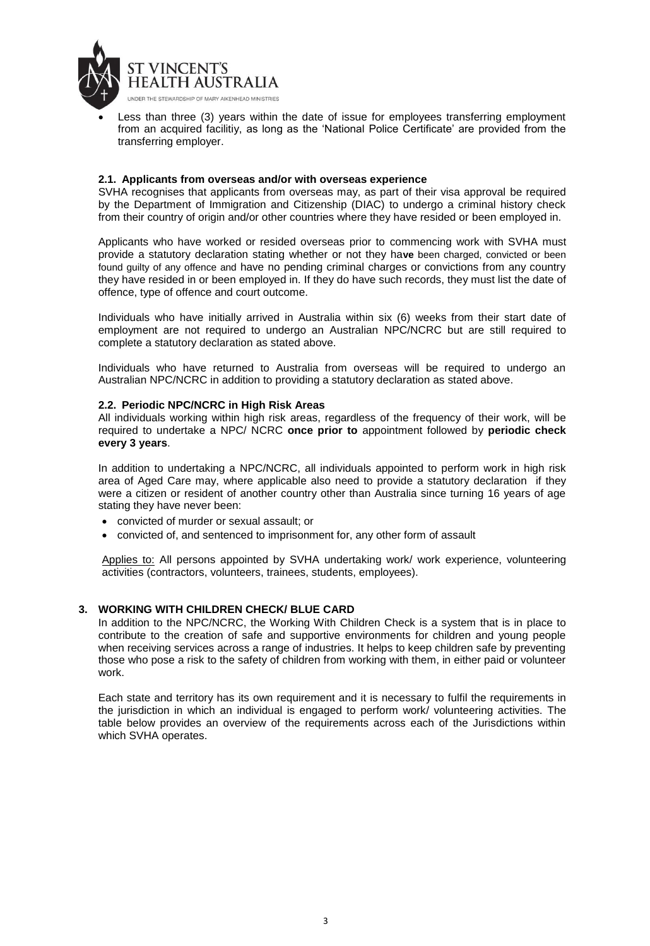

 Less than three (3) years within the date of issue for employees transferring employment from an acquired facilitiy, as long as the 'National Police Certificate' are provided from the transferring employer.

#### **2.1. Applicants from overseas and/or with overseas experience**

SVHA recognises that applicants from overseas may, as part of their visa approval be required by the Department of Immigration and Citizenship (DIAC) to undergo a criminal history check from their country of origin and/or other countries where they have resided or been employed in.

Applicants who have worked or resided overseas prior to commencing work with SVHA must provide a statutory declaration stating whether or not they ha**ve** been charged, convicted or been found guilty of any offence and have no pending criminal charges or convictions from any country they have resided in or been employed in. If they do have such records, they must list the date of offence, type of offence and court outcome.

Individuals who have initially arrived in Australia within six (6) weeks from their start date of employment are not required to undergo an Australian NPC/NCRC but are still required to complete a statutory declaration as stated above.

Individuals who have returned to Australia from overseas will be required to undergo an Australian NPC/NCRC in addition to providing a statutory declaration as stated above.

#### **2.2. Periodic NPC/NCRC in High Risk Areas**

All individuals working within high risk areas, regardless of the frequency of their work, will be required to undertake a NPC/ NCRC **once prior to** appointment followed by **periodic check every 3 years**.

In addition to undertaking a NPC/NCRC, all individuals appointed to perform work in high risk area of Aged Care may, where applicable also need to provide a statutory declaration if they were a citizen or resident of another country other than Australia since turning 16 years of age stating they have never been:

- convicted of murder or sexual assault; or
- convicted of, and sentenced to imprisonment for, any other form of assault

Applies to: All persons appointed by SVHA undertaking work/ work experience, volunteering activities (contractors, volunteers, trainees, students, employees).

### **3. WORKING WITH CHILDREN CHECK/ BLUE CARD**

In addition to the NPC/NCRC, the Working With Children Check is a system that is in place to contribute to the creation of safe and supportive environments for children and young people when receiving services across a range of industries. It helps to keep children safe by preventing those who pose a risk to the safety of children from working with them, in either paid or volunteer work.

Each state and territory has its own requirement and it is necessary to fulfil the requirements in the jurisdiction in which an individual is engaged to perform work/ volunteering activities. The table below provides an overview of the requirements across each of the Jurisdictions within which SVHA operates.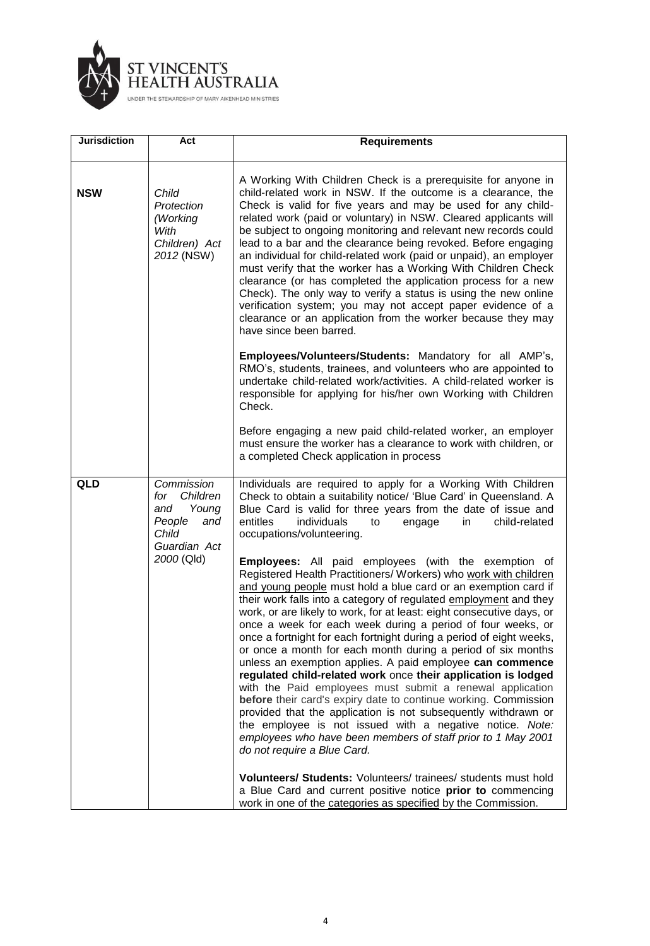

| <b>Jurisdiction</b> | Act                                                                                     | <b>Requirements</b>                                                                                                                                                                                                                                                                                                                                                                                                                                                                                                                                                                                                                                                                                                                                                                                                                                                                                                                                                                                                                              |
|---------------------|-----------------------------------------------------------------------------------------|--------------------------------------------------------------------------------------------------------------------------------------------------------------------------------------------------------------------------------------------------------------------------------------------------------------------------------------------------------------------------------------------------------------------------------------------------------------------------------------------------------------------------------------------------------------------------------------------------------------------------------------------------------------------------------------------------------------------------------------------------------------------------------------------------------------------------------------------------------------------------------------------------------------------------------------------------------------------------------------------------------------------------------------------------|
| <b>NSW</b>          | Child<br>Protection<br>(Working<br>With<br>Children) Act<br>2012 (NSW)                  | A Working With Children Check is a prerequisite for anyone in<br>child-related work in NSW. If the outcome is a clearance, the<br>Check is valid for five years and may be used for any child-<br>related work (paid or voluntary) in NSW. Cleared applicants will<br>be subject to ongoing monitoring and relevant new records could<br>lead to a bar and the clearance being revoked. Before engaging<br>an individual for child-related work (paid or unpaid), an employer<br>must verify that the worker has a Working With Children Check<br>clearance (or has completed the application process for a new<br>Check). The only way to verify a status is using the new online<br>verification system; you may not accept paper evidence of a<br>clearance or an application from the worker because they may<br>have since been barred.                                                                                                                                                                                                     |
|                     |                                                                                         | Employees/Volunteers/Students: Mandatory for all AMP's,<br>RMO's, students, trainees, and volunteers who are appointed to<br>undertake child-related work/activities. A child-related worker is<br>responsible for applying for his/her own Working with Children<br>Check.                                                                                                                                                                                                                                                                                                                                                                                                                                                                                                                                                                                                                                                                                                                                                                      |
|                     |                                                                                         | Before engaging a new paid child-related worker, an employer<br>must ensure the worker has a clearance to work with children, or<br>a completed Check application in process                                                                                                                                                                                                                                                                                                                                                                                                                                                                                                                                                                                                                                                                                                                                                                                                                                                                     |
| QLD                 | Commission<br>Children<br>for<br>Young<br>and<br>People<br>and<br>Child<br>Guardian Act | Individuals are required to apply for a Working With Children<br>Check to obtain a suitability notice/ 'Blue Card' in Queensland. A<br>Blue Card is valid for three years from the date of issue and<br>entitles<br>individuals<br>engage<br>in<br>child-related<br>to<br>occupations/volunteering.                                                                                                                                                                                                                                                                                                                                                                                                                                                                                                                                                                                                                                                                                                                                              |
|                     | 2000 (Qld)                                                                              | <b>Employees:</b> All paid employees (with the exemption of<br>Registered Health Practitioners/ Workers) who work with children<br>and young people must hold a blue card or an exemption card if<br>their work falls into a category of regulated employment and they<br>work, or are likely to work, for at least: eight consecutive days, or<br>once a week for each week during a period of four weeks, or<br>once a fortnight for each fortnight during a period of eight weeks,<br>or once a month for each month during a period of six months<br>unless an exemption applies. A paid employee can commence<br>regulated child-related work once their application is lodged<br>with the Paid employees must submit a renewal application<br>before their card's expiry date to continue working. Commission<br>provided that the application is not subsequently withdrawn or<br>the employee is not issued with a negative notice. Note:<br>employees who have been members of staff prior to 1 May 2001<br>do not require a Blue Card. |
|                     |                                                                                         | <b>Volunteers/ Students: Volunteers/ trainees/ students must hold</b><br>a Blue Card and current positive notice prior to commencing<br>work in one of the categories as specified by the Commission.                                                                                                                                                                                                                                                                                                                                                                                                                                                                                                                                                                                                                                                                                                                                                                                                                                            |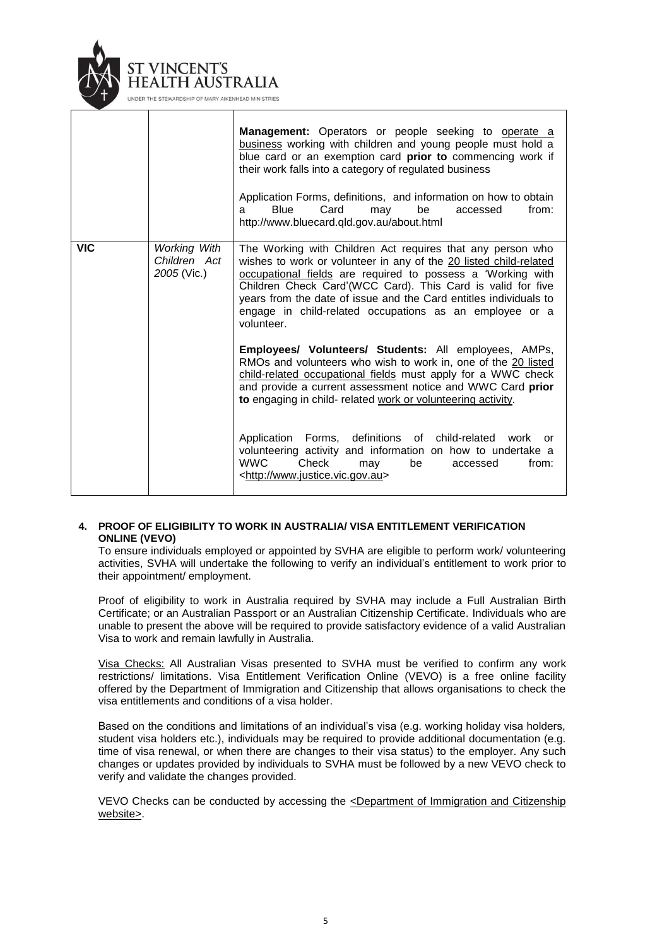

|            |                                                    | <b>Management:</b> Operators or people seeking to operate a<br>business working with children and young people must hold a<br>blue card or an exemption card prior to commencing work if<br>their work falls into a category of regulated business<br>Application Forms, definitions, and information on how to obtain<br><b>Blue</b><br>Card<br>be<br>from:<br>may<br>accessed<br>a<br>http://www.bluecard.qld.gov.au/about.html |
|------------|----------------------------------------------------|-----------------------------------------------------------------------------------------------------------------------------------------------------------------------------------------------------------------------------------------------------------------------------------------------------------------------------------------------------------------------------------------------------------------------------------|
| <b>VIC</b> | <b>Working With</b><br>Children Act<br>2005 (Vic.) | The Working with Children Act requires that any person who<br>wishes to work or volunteer in any of the 20 listed child-related<br>occupational fields are required to possess a 'Working with<br>Children Check Card'(WCC Card). This Card is valid for five<br>years from the date of issue and the Card entitles individuals to<br>engage in child-related occupations as an employee or a<br>volunteer.                       |
|            |                                                    | Employees/ Volunteers/ Students: All employees, AMPs,<br>RMOs and volunteers who wish to work in, one of the 20 listed<br>child-related occupational fields must apply for a WWC check<br>and provide a current assessment notice and WWC Card prior<br>to engaging in child- related work or volunteering activity.                                                                                                              |
|            |                                                    | Application Forms, definitions of child-related<br>work<br>or<br>volunteering activity and information on how to undertake a<br><b>WWC</b><br>Check<br>be<br>from:<br>may<br>accessed<br><http: www.justice.vic.gov.au=""></http:>                                                                                                                                                                                                |

### **4. PROOF OF ELIGIBILITY TO WORK IN AUSTRALIA/ VISA ENTITLEMENT VERIFICATION ONLINE (VEVO)**

To ensure individuals employed or appointed by SVHA are eligible to perform work/ volunteering activities, SVHA will undertake the following to verify an individual's entitlement to work prior to their appointment/ employment.

Proof of eligibility to work in Australia required by SVHA may include a Full Australian Birth Certificate; or an Australian Passport or an Australian Citizenship Certificate. Individuals who are unable to present the above will be required to provide satisfactory evidence of a valid Australian Visa to work and remain lawfully in Australia.

Visa Checks: All Australian Visas presented to SVHA must be verified to confirm any work restrictions/ limitations. Visa Entitlement Verification Online (VEVO) is a free online facility offered by the Department of Immigration and Citizenship that allows organisations to check the visa entitlements and conditions of a visa holder.

Based on the conditions and limitations of an individual's visa (e.g. working holiday visa holders, student visa holders etc.), individuals may be required to provide additional documentation (e.g. time of visa renewal, or when there are changes to their visa status) to the employer. Any such changes or updates provided by individuals to SVHA must be followed by a new VEVO check to verify and validate the changes provided.

VEVO Checks can be conducted by accessing the [<Department of Immigration and Citizenship](http://www.immi.gov.au/managing-australias-borders/compliance/info-employers/evo-orgs.htm)  [website>.](http://www.immi.gov.au/managing-australias-borders/compliance/info-employers/evo-orgs.htm)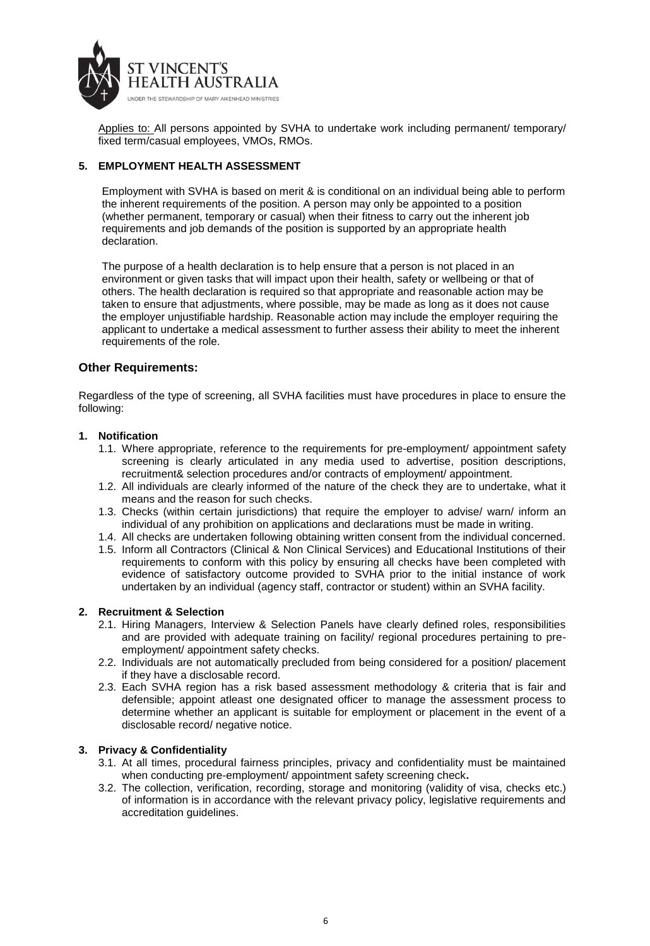

Applies to: All persons appointed by SVHA to undertake work including permanent/ temporary/ fixed term/casual employees, VMOs, RMOs.

### **5. EMPLOYMENT HEALTH ASSESSMENT**

Employment with SVHA is based on merit & is conditional on an individual being able to perform the inherent requirements of the position. A person may only be appointed to a position (whether permanent, temporary or casual) when their fitness to carry out the inherent job requirements and job demands of the position is supported by an appropriate health declaration.

The purpose of a health declaration is to help ensure that a person is not placed in an environment or given tasks that will impact upon their health, safety or wellbeing or that of others. The health declaration is required so that appropriate and reasonable action may be taken to ensure that adjustments, where possible, may be made as long as it does not cause the employer unjustifiable hardship. Reasonable action may include the employer requiring the applicant to undertake a medical assessment to further assess their ability to meet the inherent requirements of the role.

# **Other Requirements:**

Regardless of the type of screening, all SVHA facilities must have procedures in place to ensure the following:

### **1. Notification**

- 1.1. Where appropriate, reference to the requirements for pre-employment/ appointment safety screening is clearly articulated in any media used to advertise, position descriptions, recruitment& selection procedures and/or contracts of employment/ appointment.
- 1.2. All individuals are clearly informed of the nature of the check they are to undertake, what it means and the reason for such checks.
- 1.3. Checks (within certain jurisdictions) that require the employer to advise/ warn/ inform an individual of any prohibition on applications and declarations must be made in writing.
- 1.4. All checks are undertaken following obtaining written consent from the individual concerned.
- 1.5. Inform all Contractors (Clinical & Non Clinical Services) and Educational Institutions of their requirements to conform with this policy by ensuring all checks have been completed with evidence of satisfactory outcome provided to SVHA prior to the initial instance of work undertaken by an individual (agency staff, contractor or student) within an SVHA facility.

### **2. Recruitment & Selection**

- 2.1. Hiring Managers, Interview & Selection Panels have clearly defined roles, responsibilities and are provided with adequate training on facility/ regional procedures pertaining to preemployment/ appointment safety checks.
- 2.2. Individuals are not automatically precluded from being considered for a position/ placement if they have a disclosable record.
- 2.3. Each SVHA region has a risk based assessment methodology & criteria that is fair and defensible; appoint atleast one designated officer to manage the assessment process to determine whether an applicant is suitable for employment or placement in the event of a disclosable record/ negative notice.

### **3. Privacy & Confidentiality**

- 3.1. At all times, procedural fairness principles, privacy and confidentiality must be maintained when conducting pre-employment/ appointment safety screening check**.**
- 3.2. The collection, verification, recording, storage and monitoring (validity of visa, checks etc.) of information is in accordance with the relevant privacy policy, legislative requirements and accreditation guidelines.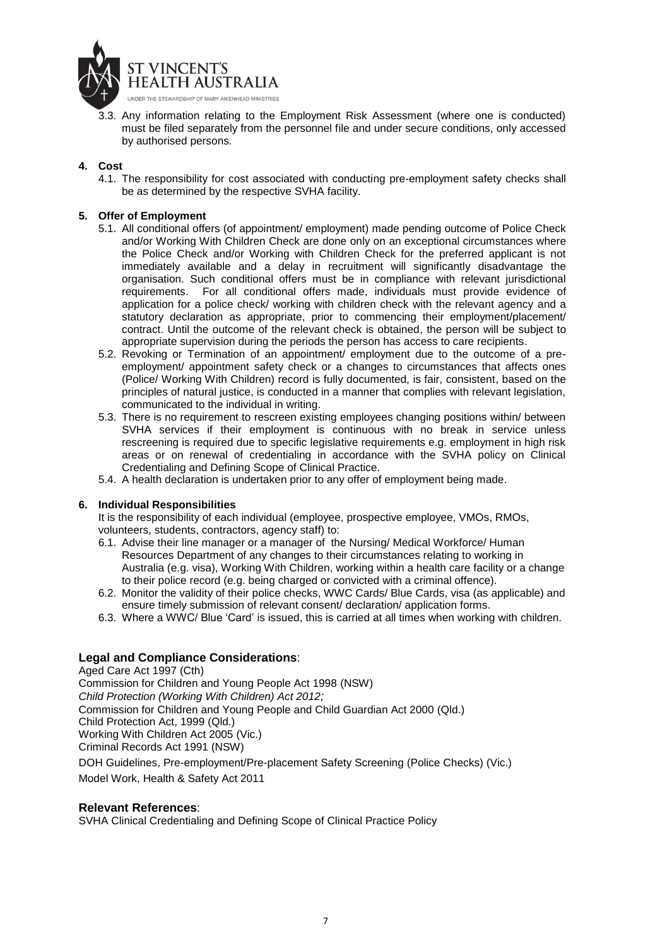

3.3. Any information relating to the Employment Risk Assessment (where one is conducted) must be filed separately from the personnel file and under secure conditions, only accessed by authorised persons.

### **4. Cost**

4.1. The responsibility for cost associated with conducting pre-employment safety checks shall be as determined by the respective SVHA facility.

### **5. Offer of Employment**

- 5.1. All conditional offers (of appointment/ employment) made pending outcome of Police Check and/or Working With Children Check are done only on an exceptional circumstances where the Police Check and/or Working with Children Check for the preferred applicant is not immediately available and a delay in recruitment will significantly disadvantage the organisation. Such conditional offers must be in compliance with relevant jurisdictional requirements. For all conditional offers made, individuals must provide evidence of application for a police check/ working with children check with the relevant agency and a statutory declaration as appropriate, prior to commencing their employment/placement/ contract. Until the outcome of the relevant check is obtained, the person will be subject to appropriate supervision during the periods the person has access to care recipients.
- 5.2. Revoking or Termination of an appointment/ employment due to the outcome of a preemployment/ appointment safety check or a changes to circumstances that affects ones (Police/ Working With Children) record is fully documented, is fair, consistent, based on the principles of natural justice, is conducted in a manner that complies with relevant legislation, communicated to the individual in writing.
- 5.3. There is no requirement to rescreen existing employees changing positions within/ between SVHA services if their employment is continuous with no break in service unless rescreening is required due to specific legislative requirements e.g. employment in high risk areas or on renewal of credentialing in accordance with the SVHA policy on Clinical Credentialing and Defining Scope of Clinical Practice.
- 5.4. A health declaration is undertaken prior to any offer of employment being made.

#### **6. Individual Responsibilities**

It is the responsibility of each individual (employee, prospective employee, VMOs, RMOs, volunteers, students, contractors, agency staff) to:

- 6.1. Advise their line manager or a manager of the Nursing/ Medical Workforce/ Human Resources Department of any changes to their circumstances relating to working in Australia (e.g. visa), Working With Children, working within a health care facility or a change to their police record (e.g. being charged or convicted with a criminal offence).
- 6.2. Monitor the validity of their police checks, WWC Cards/ Blue Cards, visa (as applicable) and ensure timely submission of relevant consent/ declaration/ application forms.
- 6.3. Where a WWC/ Blue 'Card' is issued, this is carried at all times when working with children.

# **Legal and Compliance Considerations**:

Aged Care Act 1997 (Cth) Commission for Children and Young People Act 1998 (NSW) *Child Protection (Working With Children) Act 2012;*  Commission for Children and Young People and Child Guardian Act 2000 (Qld.) Child Protection Act, 1999 (Qld.) Working With Children Act 2005 (Vic.) [Criminal Records Act 1991 \(NSW\)](http://www.austlii.edu.au/au/legis/nsw/consol_act/cra1991167/index.html) DOH Guidelines, Pre-employment/Pre-placement Safety Screening (Police Checks) (Vic.) Model Work, Health & Safety Act 2011

### **Relevant References**:

SVHA Clinical Credentialing and Defining Scope of Clinical Practice Policy